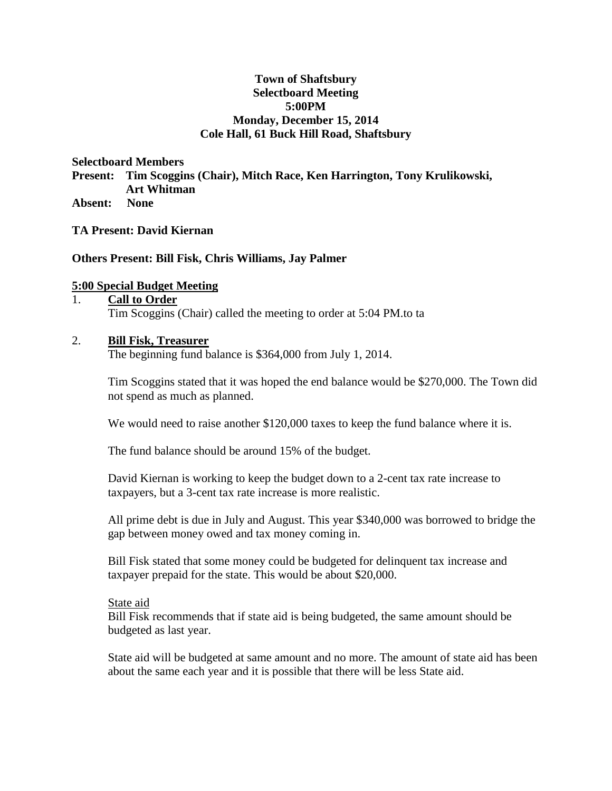## **Town of Shaftsbury Selectboard Meeting 5:00PM Monday, December 15, 2014 Cole Hall, 61 Buck Hill Road, Shaftsbury**

**Selectboard Members** 

**Present: Tim Scoggins (Chair), Mitch Race, Ken Harrington, Tony Krulikowski, Art Whitman**

**Absent: None**

**TA Present: David Kiernan**

**Others Present: Bill Fisk, Chris Williams, Jay Palmer**

## **5:00 Special Budget Meeting**

#### 1. **Call to Order** Tim Scoggins (Chair) called the meeting to order at 5:04 PM.to ta

## 2. **Bill Fisk, Treasurer**

The beginning fund balance is \$364,000 from July 1, 2014.

Tim Scoggins stated that it was hoped the end balance would be \$270,000. The Town did not spend as much as planned.

We would need to raise another \$120,000 taxes to keep the fund balance where it is.

The fund balance should be around 15% of the budget.

David Kiernan is working to keep the budget down to a 2-cent tax rate increase to taxpayers, but a 3-cent tax rate increase is more realistic.

All prime debt is due in July and August. This year \$340,000 was borrowed to bridge the gap between money owed and tax money coming in.

Bill Fisk stated that some money could be budgeted for delinquent tax increase and taxpayer prepaid for the state. This would be about \$20,000.

#### State aid

Bill Fisk recommends that if state aid is being budgeted, the same amount should be budgeted as last year.

State aid will be budgeted at same amount and no more. The amount of state aid has been about the same each year and it is possible that there will be less State aid.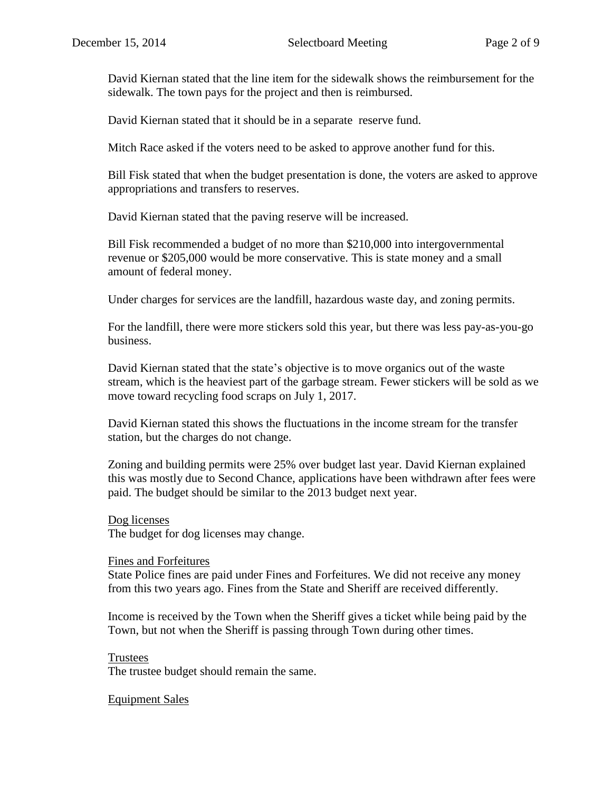David Kiernan stated that the line item for the sidewalk shows the reimbursement for the sidewalk. The town pays for the project and then is reimbursed.

David Kiernan stated that it should be in a separate reserve fund.

Mitch Race asked if the voters need to be asked to approve another fund for this.

Bill Fisk stated that when the budget presentation is done, the voters are asked to approve appropriations and transfers to reserves.

David Kiernan stated that the paving reserve will be increased.

Bill Fisk recommended a budget of no more than \$210,000 into intergovernmental revenue or \$205,000 would be more conservative. This is state money and a small amount of federal money.

Under charges for services are the landfill, hazardous waste day, and zoning permits.

For the landfill, there were more stickers sold this year, but there was less pay-as-you-go business.

David Kiernan stated that the state's objective is to move organics out of the waste stream, which is the heaviest part of the garbage stream. Fewer stickers will be sold as we move toward recycling food scraps on July 1, 2017.

David Kiernan stated this shows the fluctuations in the income stream for the transfer station, but the charges do not change.

Zoning and building permits were 25% over budget last year. David Kiernan explained this was mostly due to Second Chance, applications have been withdrawn after fees were paid. The budget should be similar to the 2013 budget next year.

## Dog licenses

The budget for dog licenses may change.

#### Fines and Forfeitures

State Police fines are paid under Fines and Forfeitures. We did not receive any money from this two years ago. Fines from the State and Sheriff are received differently.

Income is received by the Town when the Sheriff gives a ticket while being paid by the Town, but not when the Sheriff is passing through Town during other times.

## Trustees

The trustee budget should remain the same.

## Equipment Sales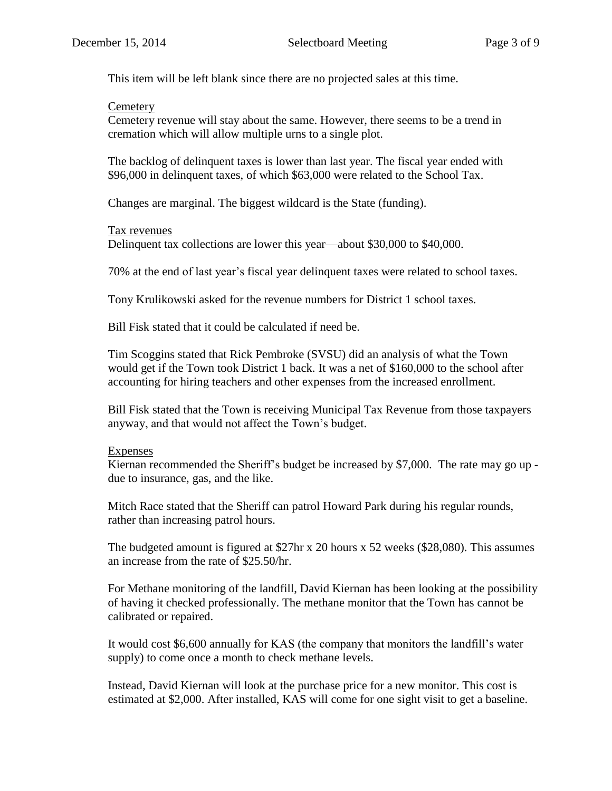This item will be left blank since there are no projected sales at this time.

## **Cemetery**

Cemetery revenue will stay about the same. However, there seems to be a trend in cremation which will allow multiple urns to a single plot.

The backlog of delinquent taxes is lower than last year. The fiscal year ended with \$96,000 in delinquent taxes, of which \$63,000 were related to the School Tax.

Changes are marginal. The biggest wildcard is the State (funding).

## Tax revenues

Delinquent tax collections are lower this year—about \$30,000 to \$40,000.

70% at the end of last year's fiscal year delinquent taxes were related to school taxes.

Tony Krulikowski asked for the revenue numbers for District 1 school taxes.

Bill Fisk stated that it could be calculated if need be.

Tim Scoggins stated that Rick Pembroke (SVSU) did an analysis of what the Town would get if the Town took District 1 back. It was a net of \$160,000 to the school after accounting for hiring teachers and other expenses from the increased enrollment.

Bill Fisk stated that the Town is receiving Municipal Tax Revenue from those taxpayers anyway, and that would not affect the Town's budget.

## Expenses

Kiernan recommended the Sheriff's budget be increased by \$7,000. The rate may go up due to insurance, gas, and the like.

Mitch Race stated that the Sheriff can patrol Howard Park during his regular rounds, rather than increasing patrol hours.

The budgeted amount is figured at \$27hr x 20 hours x 52 weeks (\$28,080). This assumes an increase from the rate of \$25.50/hr.

For Methane monitoring of the landfill, David Kiernan has been looking at the possibility of having it checked professionally. The methane monitor that the Town has cannot be calibrated or repaired.

It would cost \$6,600 annually for KAS (the company that monitors the landfill's water supply) to come once a month to check methane levels.

Instead, David Kiernan will look at the purchase price for a new monitor. This cost is estimated at \$2,000. After installed, KAS will come for one sight visit to get a baseline.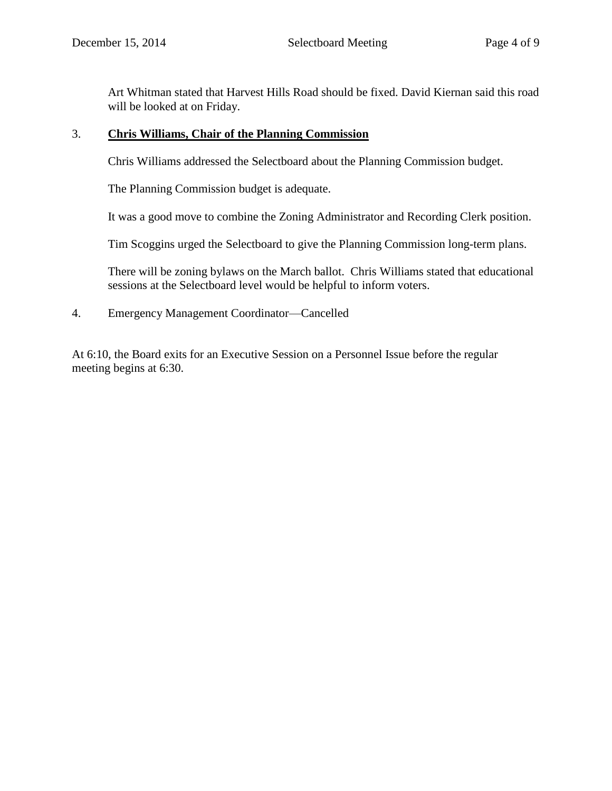Art Whitman stated that Harvest Hills Road should be fixed. David Kiernan said this road will be looked at on Friday.

## 3. **Chris Williams, Chair of the Planning Commission**

Chris Williams addressed the Selectboard about the Planning Commission budget.

The Planning Commission budget is adequate.

It was a good move to combine the Zoning Administrator and Recording Clerk position.

Tim Scoggins urged the Selectboard to give the Planning Commission long-term plans.

There will be zoning bylaws on the March ballot. Chris Williams stated that educational sessions at the Selectboard level would be helpful to inform voters.

4. Emergency Management Coordinator—Cancelled

At 6:10, the Board exits for an Executive Session on a Personnel Issue before the regular meeting begins at 6:30.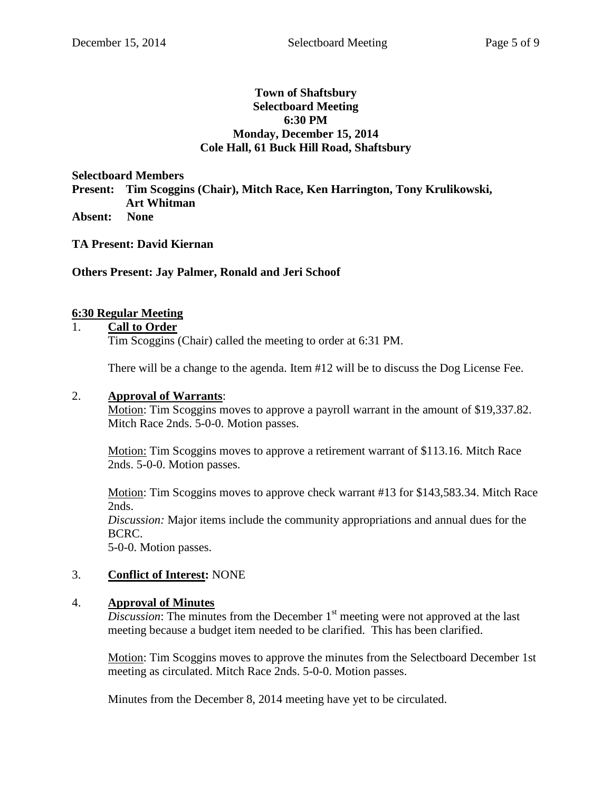## **Town of Shaftsbury Selectboard Meeting 6:30 PM Monday, December 15, 2014 Cole Hall, 61 Buck Hill Road, Shaftsbury**

**Selectboard Members Present: Tim Scoggins (Chair), Mitch Race, Ken Harrington, Tony Krulikowski, Art Whitman Absent: None**

**TA Present: David Kiernan**

## **Others Present: Jay Palmer, Ronald and Jeri Schoof**

## **6:30 Regular Meeting**

## 1. **Call to Order**

Tim Scoggins (Chair) called the meeting to order at 6:31 PM.

There will be a change to the agenda. Item #12 will be to discuss the Dog License Fee.

#### 2. **Approval of Warrants**:

Motion: Tim Scoggins moves to approve a payroll warrant in the amount of \$19,337.82. Mitch Race 2nds. 5-0-0. Motion passes.

Motion: Tim Scoggins moves to approve a retirement warrant of \$113.16. Mitch Race 2nds. 5-0-0. Motion passes.

Motion: Tim Scoggins moves to approve check warrant #13 for \$143,583.34. Mitch Race 2nds.

*Discussion:* Major items include the community appropriations and annual dues for the BCRC.

5-0-0. Motion passes.

## 3. **Conflict of Interest:** NONE

#### 4. **Approval of Minutes**

*Discussion*: The minutes from the December  $1<sup>st</sup>$  meeting were not approved at the last meeting because a budget item needed to be clarified. This has been clarified.

Motion: Tim Scoggins moves to approve the minutes from the Selectboard December 1st meeting as circulated. Mitch Race 2nds. 5-0-0. Motion passes.

Minutes from the December 8, 2014 meeting have yet to be circulated.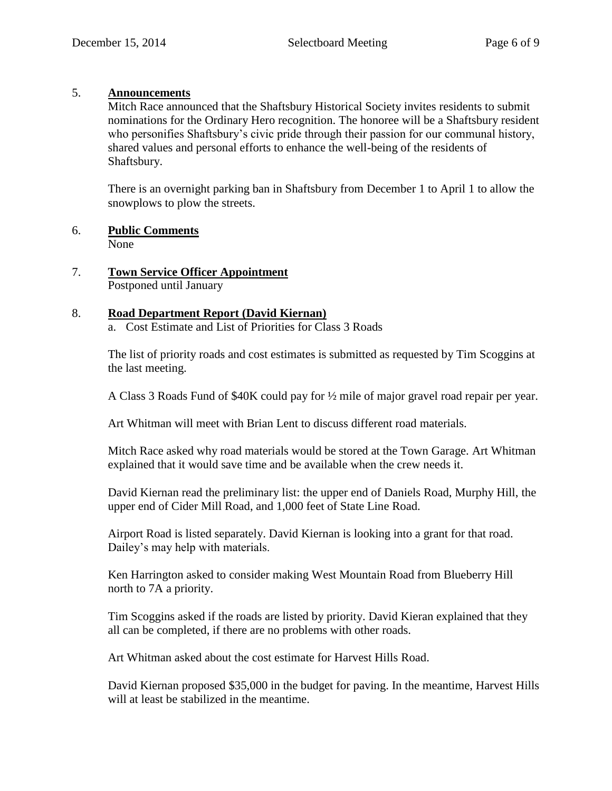## 5. **Announcements**

Mitch Race announced that the Shaftsbury Historical Society invites residents to submit nominations for the Ordinary Hero recognition. The honoree will be a Shaftsbury resident who personifies Shaftsbury's civic pride through their passion for our communal history, shared values and personal efforts to enhance the well-being of the residents of Shaftsbury.

There is an overnight parking ban in Shaftsbury from December 1 to April 1 to allow the snowplows to plow the streets.

6. **Public Comments**

None

7. **Town Service Officer Appointment** Postponed until January

## 8. **Road Department Report (David Kiernan)**

a. Cost Estimate and List of Priorities for Class 3 Roads

The list of priority roads and cost estimates is submitted as requested by Tim Scoggins at the last meeting.

A Class 3 Roads Fund of \$40K could pay for ½ mile of major gravel road repair per year.

Art Whitman will meet with Brian Lent to discuss different road materials.

Mitch Race asked why road materials would be stored at the Town Garage. Art Whitman explained that it would save time and be available when the crew needs it.

David Kiernan read the preliminary list: the upper end of Daniels Road, Murphy Hill, the upper end of Cider Mill Road, and 1,000 feet of State Line Road.

Airport Road is listed separately. David Kiernan is looking into a grant for that road. Dailey's may help with materials.

Ken Harrington asked to consider making West Mountain Road from Blueberry Hill north to 7A a priority.

Tim Scoggins asked if the roads are listed by priority. David Kieran explained that they all can be completed, if there are no problems with other roads.

Art Whitman asked about the cost estimate for Harvest Hills Road.

David Kiernan proposed \$35,000 in the budget for paving. In the meantime, Harvest Hills will at least be stabilized in the meantime.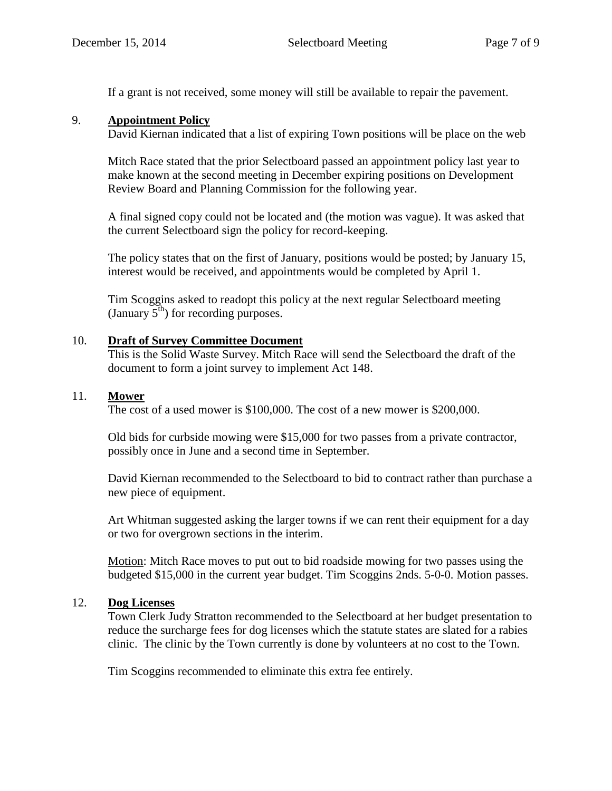If a grant is not received, some money will still be available to repair the pavement.

## 9. **Appointment Policy**

David Kiernan indicated that a list of expiring Town positions will be place on the web

Mitch Race stated that the prior Selectboard passed an appointment policy last year to make known at the second meeting in December expiring positions on Development Review Board and Planning Commission for the following year.

A final signed copy could not be located and (the motion was vague). It was asked that the current Selectboard sign the policy for record-keeping.

The policy states that on the first of January, positions would be posted; by January 15, interest would be received, and appointments would be completed by April 1.

Tim Scoggins asked to readopt this policy at the next regular Selectboard meeting (January  $5^{th}$ ) for recording purposes.

## 10. **Draft of Survey Committee Document**

This is the Solid Waste Survey. Mitch Race will send the Selectboard the draft of the document to form a joint survey to implement Act 148.

## 11. **Mower**

The cost of a used mower is \$100,000. The cost of a new mower is \$200,000.

Old bids for curbside mowing were \$15,000 for two passes from a private contractor, possibly once in June and a second time in September.

David Kiernan recommended to the Selectboard to bid to contract rather than purchase a new piece of equipment.

Art Whitman suggested asking the larger towns if we can rent their equipment for a day or two for overgrown sections in the interim.

Motion: Mitch Race moves to put out to bid roadside mowing for two passes using the budgeted \$15,000 in the current year budget. Tim Scoggins 2nds. 5-0-0. Motion passes.

# 12. **Dog Licenses**

Town Clerk Judy Stratton recommended to the Selectboard at her budget presentation to reduce the surcharge fees for dog licenses which the statute states are slated for a rabies clinic. The clinic by the Town currently is done by volunteers at no cost to the Town.

Tim Scoggins recommended to eliminate this extra fee entirely.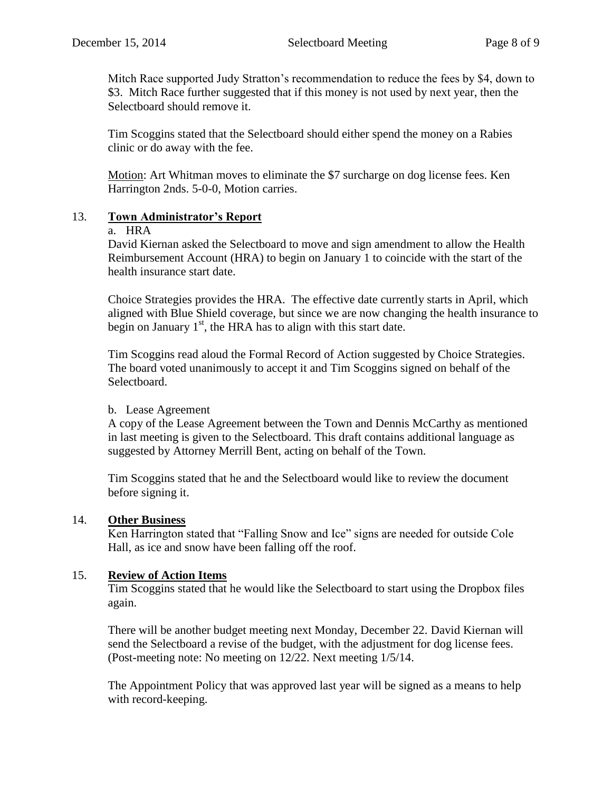Mitch Race supported Judy Stratton's recommendation to reduce the fees by \$4, down to \$3. Mitch Race further suggested that if this money is not used by next year, then the Selectboard should remove it.

Tim Scoggins stated that the Selectboard should either spend the money on a Rabies clinic or do away with the fee.

Motion: Art Whitman moves to eliminate the \$7 surcharge on dog license fees. Ken Harrington 2nds. 5-0-0, Motion carries.

# 13. **Town Administrator's Report**

## a. HRA

David Kiernan asked the Selectboard to move and sign amendment to allow the Health Reimbursement Account (HRA) to begin on January 1 to coincide with the start of the health insurance start date.

Choice Strategies provides the HRA. The effective date currently starts in April, which aligned with Blue Shield coverage, but since we are now changing the health insurance to begin on January  $1<sup>st</sup>$ , the HRA has to align with this start date.

Tim Scoggins read aloud the Formal Record of Action suggested by Choice Strategies. The board voted unanimously to accept it and Tim Scoggins signed on behalf of the Selectboard.

# b. Lease Agreement

A copy of the Lease Agreement between the Town and Dennis McCarthy as mentioned in last meeting is given to the Selectboard. This draft contains additional language as suggested by Attorney Merrill Bent, acting on behalf of the Town.

Tim Scoggins stated that he and the Selectboard would like to review the document before signing it.

# 14. **Other Business**

Ken Harrington stated that "Falling Snow and Ice" signs are needed for outside Cole Hall, as ice and snow have been falling off the roof.

# 15. **Review of Action Items**

Tim Scoggins stated that he would like the Selectboard to start using the Dropbox files again.

There will be another budget meeting next Monday, December 22. David Kiernan will send the Selectboard a revise of the budget, with the adjustment for dog license fees. (Post-meeting note: No meeting on 12/22. Next meeting 1/5/14.

The Appointment Policy that was approved last year will be signed as a means to help with record-keeping.